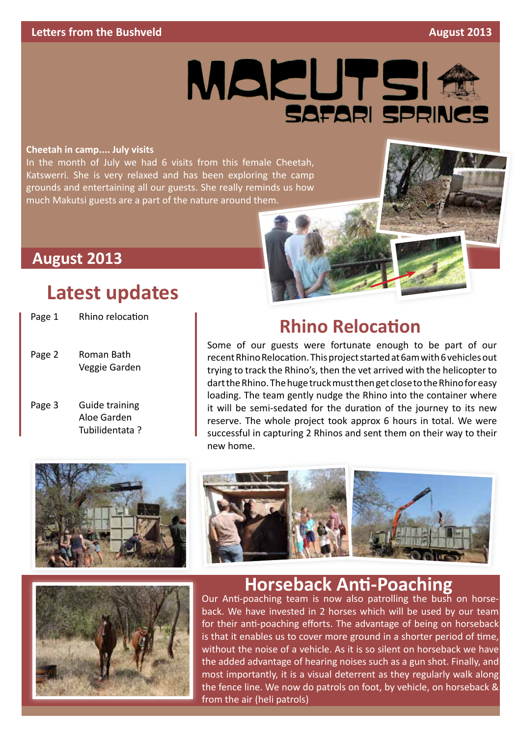

#### **Cheetah in camp.... July visits**

In the month of July we had 6 visits from this female Cheetah, Katswerri. She is very relaxed and has been exploring the camp grounds and entertaining all our guests. She really reminds us how much Makutsi guests are a part of the nature around them.

### **August 2013**

### **Latest updates**

| Page 1 | Rhino relocation                                |
|--------|-------------------------------------------------|
| Page 2 | Roman Bath<br>Veggie Garden                     |
| Page 3 | Guide training<br>Aloe Garden<br>Tubilidentata? |

### **Rhino Relocation**

Some of our guests were fortunate enough to be part of our recent Rhino Relocation. This project started at 6am with 6 vehicles out trying to track the Rhino's, then the vet arrived with the helicopter to dart the Rhino. The huge truck must then get close to the Rhino for easy loading. The team gently nudge the Rhino into the container where it will be semi-sedated for the duration of the journey to its new reserve. The whole project took approx 6 hours in total. We were successful in capturing 2 Rhinos and sent them on their way to their new home.







#### **Horseback Anti-Poaching**

Our Anti-poaching team is now also patrolling the bush on horseback. We have invested in 2 horses which will be used by our team for their anti-poaching efforts. The advantage of being on horseback is that it enables us to cover more ground in a shorter period of time, without the noise of a vehicle. As it is so silent on horseback we have the added advantage of hearing noises such as a gun shot. Finally, and most importantly, it is a visual deterrent as they regularly walk along the fence line. We now do patrols on foot, by vehicle, on horseback & from the air (heli patrols)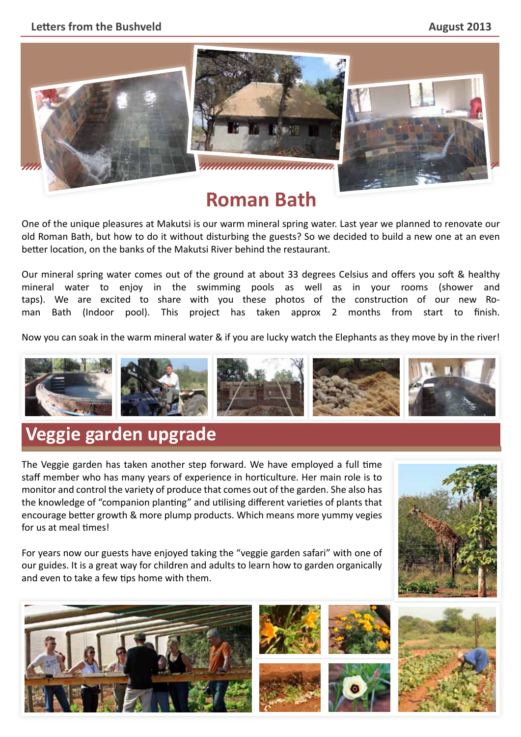#### **Letters from the Bushveld August 2013**



## **Roman Bath**

One of the unique pleasures at Makutsi is our warm mineral spring water. Last year we planned to renovate our old Roman Bath, but how to do it without disturbing the guests? So we decided to build a new one at an even better location, on the banks of the Makutsi River behind the restaurant.

Our mineral spring water comes out of the ground at about 33 degrees Celsius and offers you soft & healthy mineral water to enjoy in the swimming pools as well as in your rooms (shower and taps). We are excited to share with you these photos of the construction of our new Roman Bath (Indoor pool). This project has taken approx 2 months from start to finish.

Now you can soak in the warm mineral water & if you are lucky watch the Elephants as they move by in the river!



## **Veggie garden upgrade**

The Veggie garden has taken another step forward. We have employed a full time staff member who has many years of experience in horticulture. Her main role is to monitor and control the variety of produce that comes out of the garden. She also has the knowledge of "companion planting" and utilising different varieties of plants that encourage better growth & more plump products. Which means more yummy vegies for us at meal times!

For years now our guests have enjoyed taking the "veggie garden safari" with one of our guides. It is a great way for children and adults to learn how to garden organically and even to take a few tips home with them.